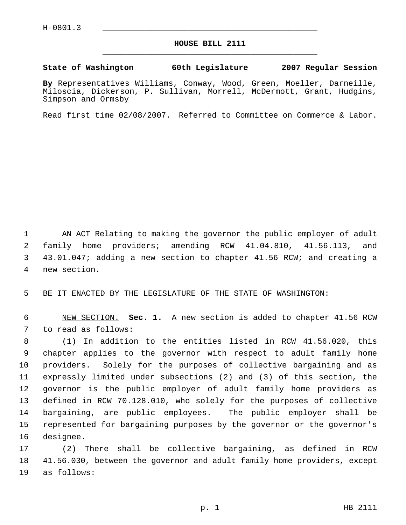## **HOUSE BILL 2111** \_\_\_\_\_\_\_\_\_\_\_\_\_\_\_\_\_\_\_\_\_\_\_\_\_\_\_\_\_\_\_\_\_\_\_\_\_\_\_\_\_\_\_\_\_

**State of Washington 60th Legislature 2007 Regular Session**

**By** Representatives Williams, Conway, Wood, Green, Moeller, Darneille, Miloscia, Dickerson, P. Sullivan, Morrell, McDermott, Grant, Hudgins, Simpson and Ormsby

Read first time 02/08/2007. Referred to Committee on Commerce & Labor.

 AN ACT Relating to making the governor the public employer of adult family home providers; amending RCW 41.04.810, 41.56.113, and 43.01.047; adding a new section to chapter 41.56 RCW; and creating a new section.

BE IT ENACTED BY THE LEGISLATURE OF THE STATE OF WASHINGTON:

 NEW SECTION. **Sec. 1.** A new section is added to chapter 41.56 RCW to read as follows:

 (1) In addition to the entities listed in RCW 41.56.020, this chapter applies to the governor with respect to adult family home providers. Solely for the purposes of collective bargaining and as expressly limited under subsections (2) and (3) of this section, the governor is the public employer of adult family home providers as defined in RCW 70.128.010, who solely for the purposes of collective bargaining, are public employees. The public employer shall be represented for bargaining purposes by the governor or the governor's designee.

 (2) There shall be collective bargaining, as defined in RCW 41.56.030, between the governor and adult family home providers, except as follows: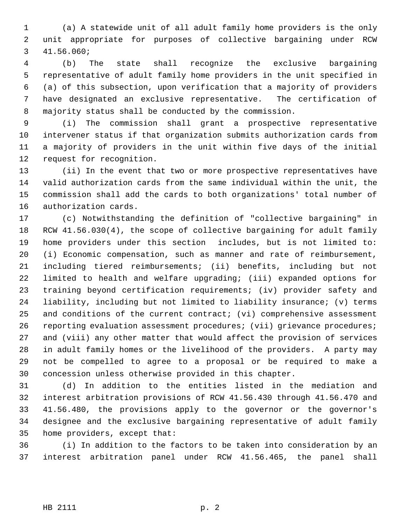(a) A statewide unit of all adult family home providers is the only unit appropriate for purposes of collective bargaining under RCW 41.56.060;

 (b) The state shall recognize the exclusive bargaining representative of adult family home providers in the unit specified in (a) of this subsection, upon verification that a majority of providers have designated an exclusive representative. The certification of majority status shall be conducted by the commission.

 (i) The commission shall grant a prospective representative intervener status if that organization submits authorization cards from a majority of providers in the unit within five days of the initial request for recognition.

 (ii) In the event that two or more prospective representatives have valid authorization cards from the same individual within the unit, the commission shall add the cards to both organizations' total number of authorization cards.

 (c) Notwithstanding the definition of "collective bargaining" in RCW 41.56.030(4), the scope of collective bargaining for adult family home providers under this section includes, but is not limited to: (i) Economic compensation, such as manner and rate of reimbursement, including tiered reimbursements; (ii) benefits, including but not limited to health and welfare upgrading; (iii) expanded options for training beyond certification requirements; (iv) provider safety and liability, including but not limited to liability insurance; (v) terms and conditions of the current contract; (vi) comprehensive assessment reporting evaluation assessment procedures; (vii) grievance procedures; and (viii) any other matter that would affect the provision of services in adult family homes or the livelihood of the providers. A party may not be compelled to agree to a proposal or be required to make a concession unless otherwise provided in this chapter.

 (d) In addition to the entities listed in the mediation and interest arbitration provisions of RCW 41.56.430 through 41.56.470 and 41.56.480, the provisions apply to the governor or the governor's designee and the exclusive bargaining representative of adult family home providers, except that:

 (i) In addition to the factors to be taken into consideration by an interest arbitration panel under RCW 41.56.465, the panel shall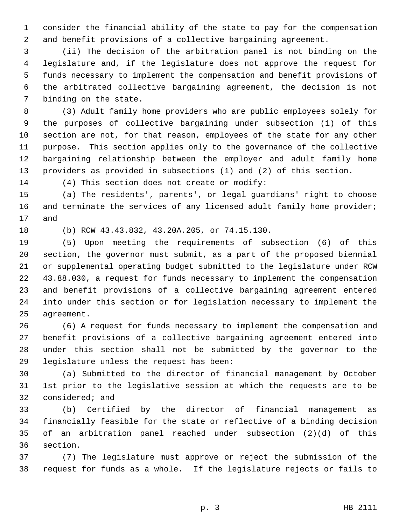consider the financial ability of the state to pay for the compensation and benefit provisions of a collective bargaining agreement.

 (ii) The decision of the arbitration panel is not binding on the legislature and, if the legislature does not approve the request for funds necessary to implement the compensation and benefit provisions of the arbitrated collective bargaining agreement, the decision is not binding on the state.

 (3) Adult family home providers who are public employees solely for the purposes of collective bargaining under subsection (1) of this section are not, for that reason, employees of the state for any other purpose. This section applies only to the governance of the collective bargaining relationship between the employer and adult family home providers as provided in subsections (1) and (2) of this section.

(4) This section does not create or modify:

 (a) The residents', parents', or legal guardians' right to choose 16 and terminate the services of any licensed adult family home provider; and

(b) RCW 43.43.832, 43.20A.205, or 74.15.130.

 (5) Upon meeting the requirements of subsection (6) of this section, the governor must submit, as a part of the proposed biennial or supplemental operating budget submitted to the legislature under RCW 43.88.030, a request for funds necessary to implement the compensation and benefit provisions of a collective bargaining agreement entered into under this section or for legislation necessary to implement the agreement.

 (6) A request for funds necessary to implement the compensation and benefit provisions of a collective bargaining agreement entered into under this section shall not be submitted by the governor to the legislature unless the request has been:

 (a) Submitted to the director of financial management by October 1st prior to the legislative session at which the requests are to be considered; and

 (b) Certified by the director of financial management as financially feasible for the state or reflective of a binding decision of an arbitration panel reached under subsection (2)(d) of this section.

 (7) The legislature must approve or reject the submission of the request for funds as a whole. If the legislature rejects or fails to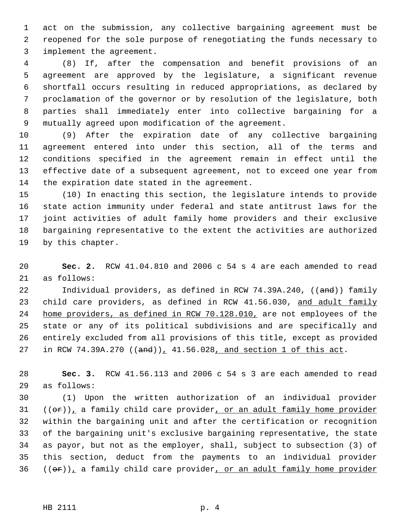act on the submission, any collective bargaining agreement must be reopened for the sole purpose of renegotiating the funds necessary to implement the agreement.

 (8) If, after the compensation and benefit provisions of an agreement are approved by the legislature, a significant revenue shortfall occurs resulting in reduced appropriations, as declared by proclamation of the governor or by resolution of the legislature, both parties shall immediately enter into collective bargaining for a mutually agreed upon modification of the agreement.

 (9) After the expiration date of any collective bargaining agreement entered into under this section, all of the terms and conditions specified in the agreement remain in effect until the effective date of a subsequent agreement, not to exceed one year from the expiration date stated in the agreement.

 (10) In enacting this section, the legislature intends to provide state action immunity under federal and state antitrust laws for the joint activities of adult family home providers and their exclusive bargaining representative to the extent the activities are authorized by this chapter.

 **Sec. 2.** RCW 41.04.810 and 2006 c 54 s 4 are each amended to read as follows:

22 Individual providers, as defined in RCW 74.39A.240, ((and)) family 23 child care providers, as defined in RCW 41.56.030, and adult family 24 home providers, as defined in RCW 70.128.010, are not employees of the state or any of its political subdivisions and are specifically and entirely excluded from all provisions of this title, except as provided 27 in RCW 74.39A.270  $((and))_1$  41.56.028, and section 1 of this act.

 **Sec. 3.** RCW 41.56.113 and 2006 c 54 s 3 are each amended to read as follows:

 (1) Upon the written authorization of an individual provider  $((\theta \cdot \mathbf{r}))$ , a family child care provider, or an adult family home provider within the bargaining unit and after the certification or recognition of the bargaining unit's exclusive bargaining representative, the state as payor, but not as the employer, shall, subject to subsection (3) of this section, deduct from the payments to an individual provider  $((\theta \cdot \mathbf{r}))$ <sub>1</sub> a family child care provider, or an adult family home provider

HB 2111 p. 4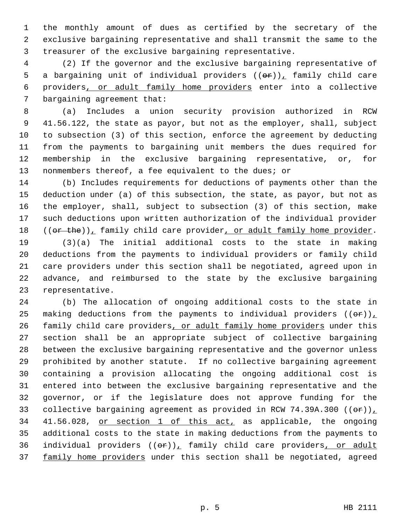the monthly amount of dues as certified by the secretary of the exclusive bargaining representative and shall transmit the same to the treasurer of the exclusive bargaining representative.

 (2) If the governor and the exclusive bargaining representative of 5 a bargaining unit of individual providers  $((\theta \cdot \mathbf{r}))$ , family child care providers, or adult family home providers enter into a collective bargaining agreement that:

 (a) Includes a union security provision authorized in RCW 41.56.122, the state as payor, but not as the employer, shall, subject to subsection (3) of this section, enforce the agreement by deducting from the payments to bargaining unit members the dues required for membership in the exclusive bargaining representative, or, for 13 nonmembers thereof, a fee equivalent to the dues; or

 (b) Includes requirements for deductions of payments other than the deduction under (a) of this subsection, the state, as payor, but not as the employer, shall, subject to subsection (3) of this section, make such deductions upon written authorization of the individual provider  $((or the))_1$  family child care provider, or adult family home provider.

 (3)(a) The initial additional costs to the state in making deductions from the payments to individual providers or family child care providers under this section shall be negotiated, agreed upon in advance, and reimbursed to the state by the exclusive bargaining representative.

 (b) The allocation of ongoing additional costs to the state in 25 making deductions from the payments to individual providers  $((\theta \cdot \mathbf{r}))$ 26 family child care providers, or adult family home providers under this section shall be an appropriate subject of collective bargaining between the exclusive bargaining representative and the governor unless prohibited by another statute. If no collective bargaining agreement containing a provision allocating the ongoing additional cost is entered into between the exclusive bargaining representative and the governor, or if the legislature does not approve funding for the 33 collective bargaining agreement as provided in RCW 74.39A.300  $((\theta \cdot \mathbf{r}))$  41.56.028, or section 1 of this act, as applicable, the ongoing additional costs to the state in making deductions from the payments to 36 individual providers  $((\theta \hat{r}))_T$  family child care providers, or adult 37 family home providers under this section shall be negotiated, agreed